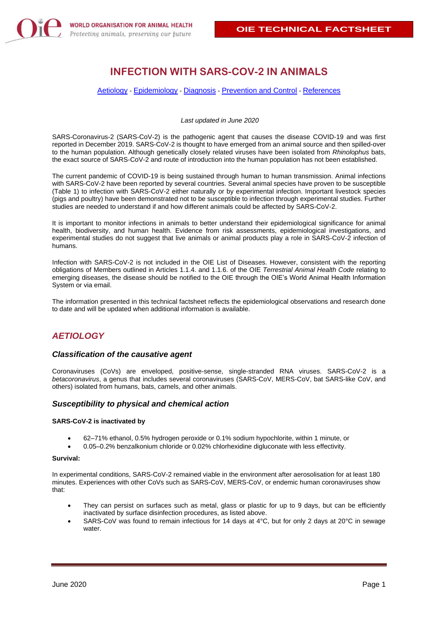

# **INFECTION WITH SARS-COV-2 IN ANIMALS**

#### [Aetiology](#page-0-0) - [Epidemiology](#page-1-0) - [Diagnosis](#page-2-0) - [Prevention and Control](#page-3-0) - [References](#page-3-1)

*Last updated in June 2020*

SARS-Coronavirus-2 (SARS-CoV-2) is the pathogenic agent that causes the disease COVID-19 and was first reported in December 2019. SARS-CoV-2 is thought to have emerged from an animal source and then spilled-over to the human population. Although genetically closely related viruses have been isolated from *Rhinolophus* bats, the exact source of SARS-CoV-2 and route of introduction into the human population has not been established.

The current pandemic of COVID-19 is being sustained through human to human transmission. Animal infections with SARS-CoV-2 have been reported by several countries. Several animal species have proven to be susceptible (Table 1) to infection with SARS-CoV-2 either naturally or by experimental infection. Important livestock species (pigs and poultry) have been demonstrated not to be susceptible to infection through experimental studies. Further studies are needed to understand if and how different animals could be affected by SARS-CoV-2.

It is important to monitor infections in animals to better understand their epidemiological significance for animal health, biodiversity, and human health. Evidence from risk assessments, epidemiological investigations, and experimental studies do not suggest that live animals or animal products play a role in SARS-CoV-2 infection of humans.

Infection with SARS-CoV-2 is not included in the OIE List of Diseases. However, consistent with the reporting obligations of Members outlined in Articles 1.1.4. and 1.1.6. of the OIE *Terrestrial Animal Health Code* relating to emerging diseases, the disease should be notified to the OIE through the OIE's World Animal Health Information System or via email.

The information presented in this technical factsheet reflects the epidemiological observations and research done to date and will be updated when additional information is available.

# <span id="page-0-0"></span>*AETIOLOGY*

## *Classification of the causative agent*

Coronaviruses (CoVs) are enveloped, positive-sense, single-stranded RNA viruses. SARS-CoV-2 is a *betacoronavirus*, a genus that includes several coronaviruses (SARS-CoV, MERS-CoV, bat SARS-like CoV, and others) isolated from humans, bats, camels, and other animals.

## *Susceptibility to physical and chemical action*

## **SARS-CoV-2 is inactivated by**

- 62–71% ethanol, 0.5% hydrogen peroxide or 0.1% sodium hypochlorite, within 1 minute, or
- 0.05–0.2% benzalkonium chloride or 0.02% chlorhexidine digluconate with less effectivity.

#### **Survival:**

In experimental conditions, SARS-CoV-2 remained viable in the environment after aerosolisation for at least 180 minutes. Experiences with other CoVs such as SARS-CoV, MERS-CoV, or endemic human coronaviruses show that:

- They can persist on surfaces such as metal, glass or plastic for up to 9 days, but can be efficiently inactivated by surface disinfection procedures, as listed above.
- SARS-CoV was found to remain infectious for 14 days at 4°C, but for only 2 days at 20°C in sewage water.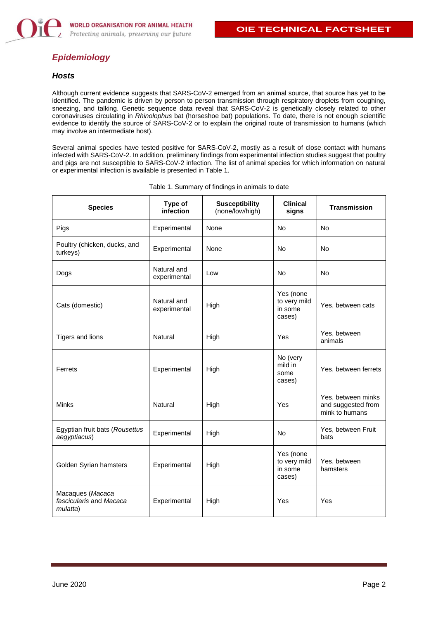# <span id="page-1-0"></span>*Epidemiology*

## *Hosts*

Although current evidence suggests that SARS-CoV-2 emerged from an animal source, that source has yet to be identified. The pandemic is driven by person to person transmission through respiratory droplets from coughing, sneezing, and talking. Genetic sequence data reveal that SARS-CoV-2 is genetically closely related to other coronaviruses circulating in *Rhinolophus* bat (horseshoe bat) populations. To date, there is not enough scientific evidence to identify the source of SARS-CoV-2 or to explain the original route of transmission to humans (which may involve an intermediate host).

Several animal species have tested positive for SARS-CoV-2, mostly as a result of close contact with humans infected with SARS-CoV-2. In addition, preliminary findings from experimental infection studies suggest that poultry and pigs are not susceptible to SARS-CoV-2 infection. The list of animal species for which information on natural or experimental infection is available is presented in Table 1.

| <b>Species</b>                                          | Type of<br>infection        | <b>Susceptibility</b><br>(none/low/high) | <b>Clinical</b><br>signs                       | <b>Transmission</b>                                        |
|---------------------------------------------------------|-----------------------------|------------------------------------------|------------------------------------------------|------------------------------------------------------------|
| Pigs                                                    | Experimental                | None                                     | <b>No</b>                                      | <b>No</b>                                                  |
| Poultry (chicken, ducks, and<br>turkeys)                | Experimental                | None                                     | <b>No</b>                                      | No                                                         |
| Dogs                                                    | Natural and<br>experimental | Low                                      | No                                             | <b>No</b>                                                  |
| Cats (domestic)                                         | Natural and<br>experimental | High                                     | Yes (none<br>to very mild<br>in some<br>cases) | Yes, between cats                                          |
| Tigers and lions                                        | Natural                     | High                                     | Yes                                            | Yes, between<br>animals                                    |
| Ferrets                                                 | Experimental                | High                                     | No (very<br>mild in<br>some<br>cases)          | Yes, between ferrets                                       |
| Minks                                                   | Natural                     | High                                     | Yes                                            | Yes, between minks<br>and suggested from<br>mink to humans |
| Egyptian fruit bats (Rousettus<br>aegyptiacus)          | Experimental                | High                                     | <b>No</b>                                      | Yes, between Fruit<br>bats                                 |
| Golden Syrian hamsters                                  | Experimental                | High                                     | Yes (none<br>to very mild<br>in some<br>cases) | Yes, between<br>hamsters                                   |
| Macaques (Macaca<br>fascicularis and Macaca<br>mulatta) | Experimental                | High                                     | Yes                                            | Yes                                                        |

|  |  | Table 1. Summary of findings in animals to date |  |
|--|--|-------------------------------------------------|--|
|  |  |                                                 |  |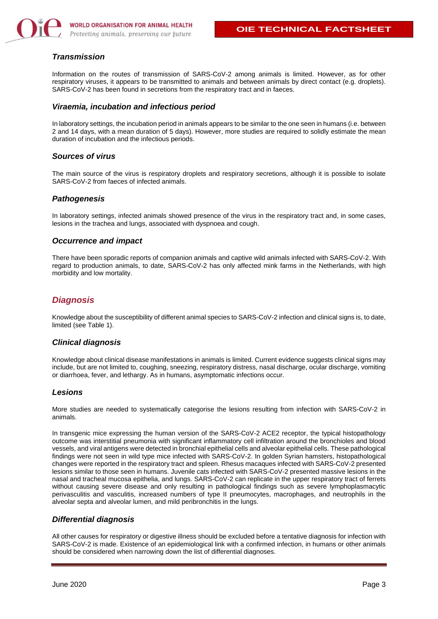

## *Transmission*

Information on the routes of transmission of SARS-CoV-2 among animals is limited. However, as for other respiratory viruses, it appears to be transmitted to animals and between animals by direct contact (e.g. droplets). SARS-CoV-2 has been found in secretions from the respiratory tract and in faeces.

#### *Viraemia, incubation and infectious period*

In laboratory settings, the incubation period in animals appears to be similar to the one seen in humans (i.e. between 2 and 14 days, with a mean duration of 5 days). However, more studies are required to solidly estimate the mean duration of incubation and the infectious periods.

## *Sources of virus*

The main source of the virus is respiratory droplets and respiratory secretions, although it is possible to isolate SARS-CoV-2 from faeces of infected animals.

## *Pathogenesis*

In laboratory settings, infected animals showed presence of the virus in the respiratory tract and, in some cases, lesions in the trachea and lungs, associated with dyspnoea and cough.

## *Occurrence and impact*

There have been sporadic reports of companion animals and captive wild animals infected with SARS-CoV-2. With regard to production animals, to date, SARS-CoV-2 has only affected mink farms in the Netherlands, with high morbidity and low mortality.

## <span id="page-2-0"></span>*Diagnosis*

Knowledge about the susceptibility of different animal species to SARS-CoV-2 infection and clinical signs is, to date, limited (see Table 1).

## *Clinical diagnosis*

Knowledge about clinical disease manifestations in animals is limited. Current evidence suggests clinical signs may include, but are not limited to, coughing, sneezing, respiratory distress, nasal discharge, ocular discharge, vomiting or diarrhoea, fever, and lethargy. As in humans, asymptomatic infections occur.

## *Lesions*

More studies are needed to systematically categorise the lesions resulting from infection with SARS-CoV-2 in animals.

In transgenic mice expressing the human version of the SARS-CoV-2 ACE2 receptor, the typical histopathology outcome was interstitial pneumonia with significant inflammatory cell infiltration around the bronchioles and blood vessels, and viral antigens were detected in bronchial epithelial cells and alveolar epithelial cells. These pathological findings were not seen in wild type mice infected with SARS-CoV-2. In golden Syrian hamsters, histopathological changes were reported in the respiratory tract and spleen. Rhesus macaques infected with SARS-CoV-2 presented lesions similar to those seen in humans. Juvenile cats infected with SARS-CoV-2 presented massive lesions in the nasal and tracheal mucosa epithelia, and lungs. SARS-CoV-2 can replicate in the upper respiratory tract of ferrets without causing severe disease and only resulting in pathological findings such as severe lymphoplasmacytic perivasculitis and vasculitis, increased numbers of type II pneumocytes, macrophages, and neutrophils in the alveolar septa and alveolar lumen, and mild peribronchitis in the lungs.

## *Differential diagnosis*

All other causes for respiratory or digestive illness should be excluded before a tentative diagnosis for infection with SARS-CoV-2 is made. Existence of an epidemiological link with a confirmed infection, in humans or other animals should be considered when narrowing down the list of differential diagnoses.